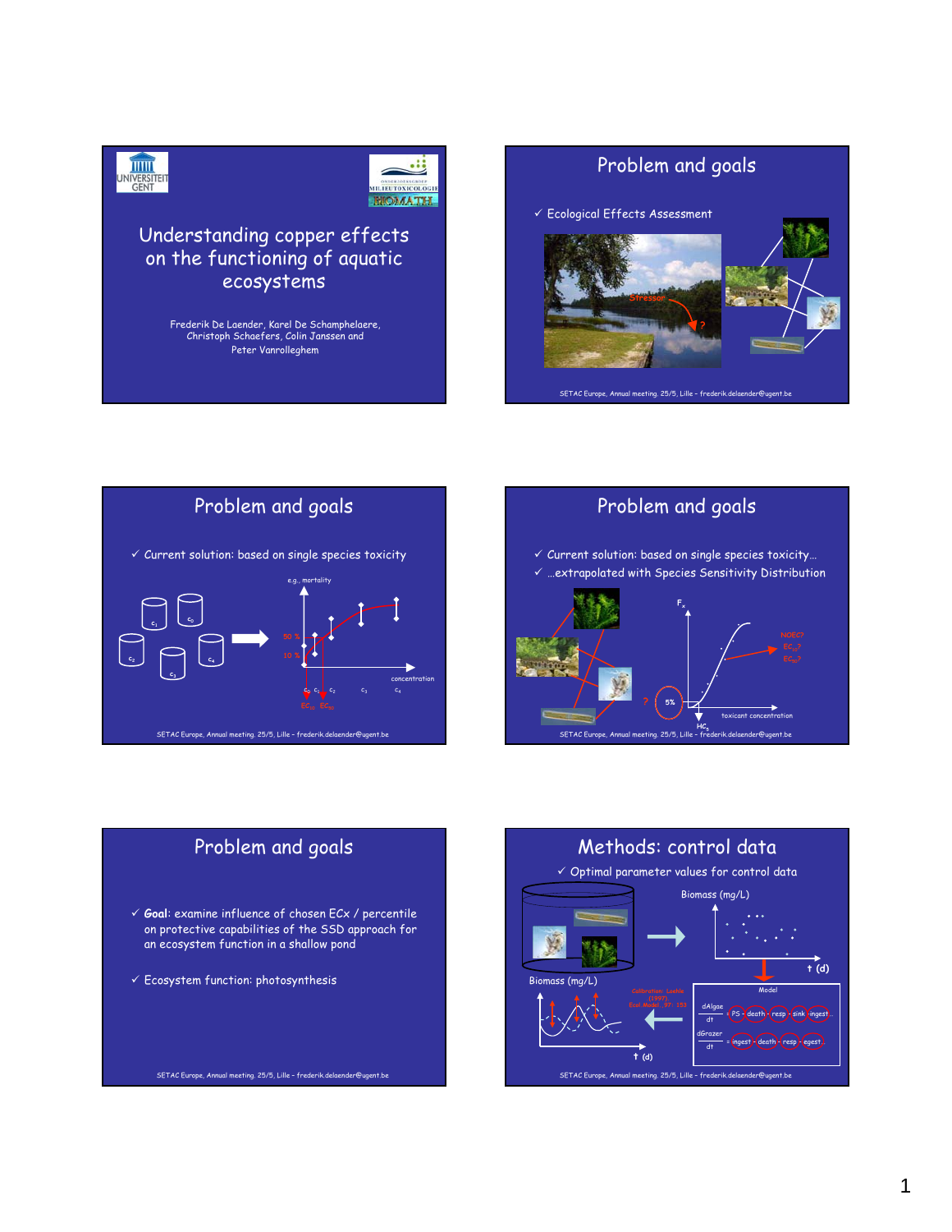



### Understanding copper effects on the functioning of aquatic ecosystems

Frederik De Laender, Karel De Schamphelaere, Christoph Schaefers, Colin Janssen and Peter Vanrolleghem

# Problem and goals

 $\checkmark$  Ecological Effects Assessment







# Problem and goals 9 **Goal**: examine influence of chosen ECx / percentile on protective capabilities of the SSD approach for an ecosystem function in a shallow pond  $\checkmark$  Ecosystem function: photosynthesis

SETAC Europe, Annual meeting. 25/5, Lille – frederik.delaender@ugent.be

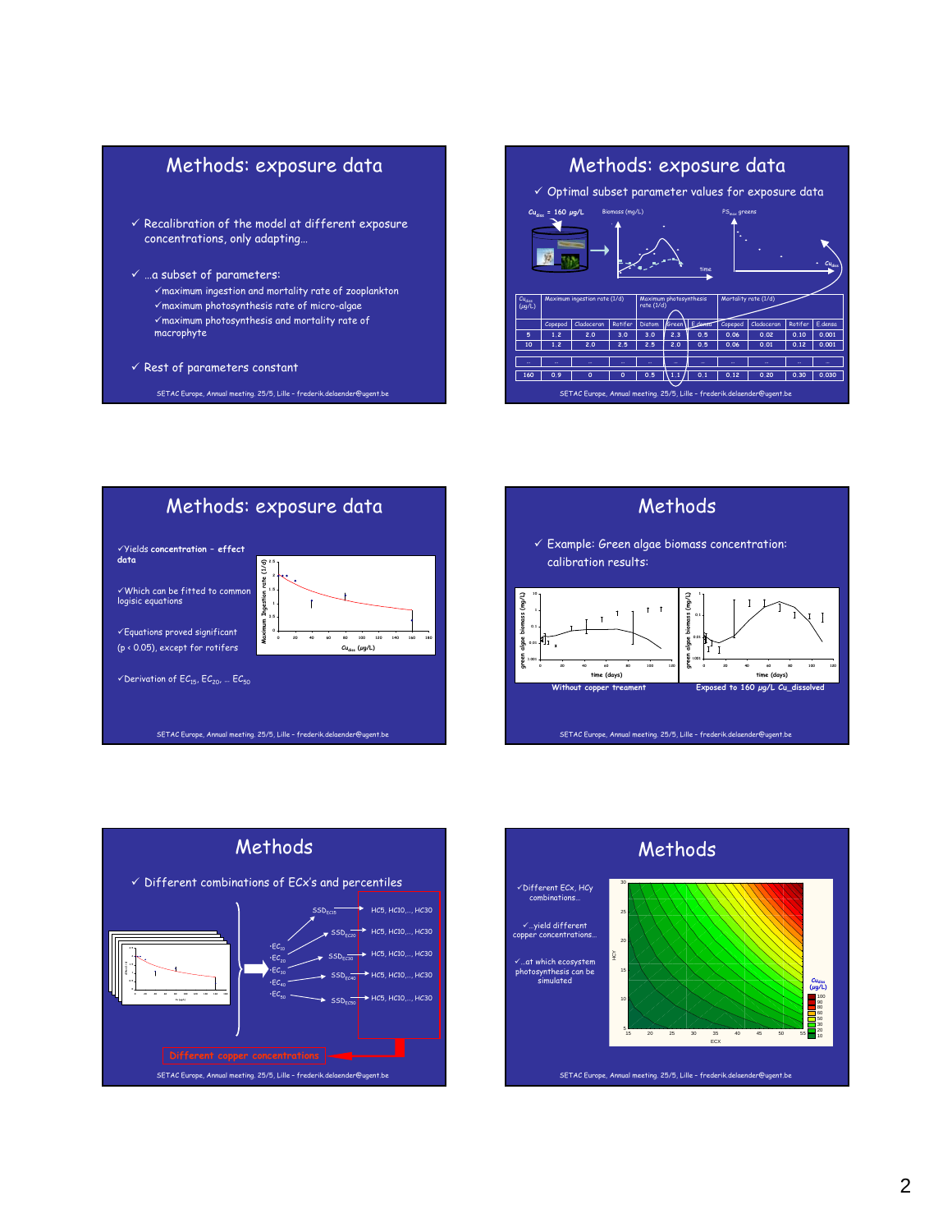



Methods: exposure data 9Yields **concentration – effect data**  $\frac{1}{2}$ **dCMax (1/d) Maximum Ingestion rate (1/d) 2.5** Ingestion rate √Which can be fitted to common<br>logisic equations **1.5 1 0.5** Maximur  $\checkmark$ Equations proved significant **0 20 40 60 80 100 120 140 160 180** (p < 0.05), except for rotifers **Cu (µg/L) Cudiss (µg/L)**  $\checkmark$  Derivation of  $\mathsf{E}\mathcal{C}_{15}, \mathsf{E}\mathcal{C}_{20}, \dots \mathsf{E}\mathcal{C}_{50}$ SETAC Europe, Annual meeting. 25/5, Lille – frederik.delaender@ugent.be